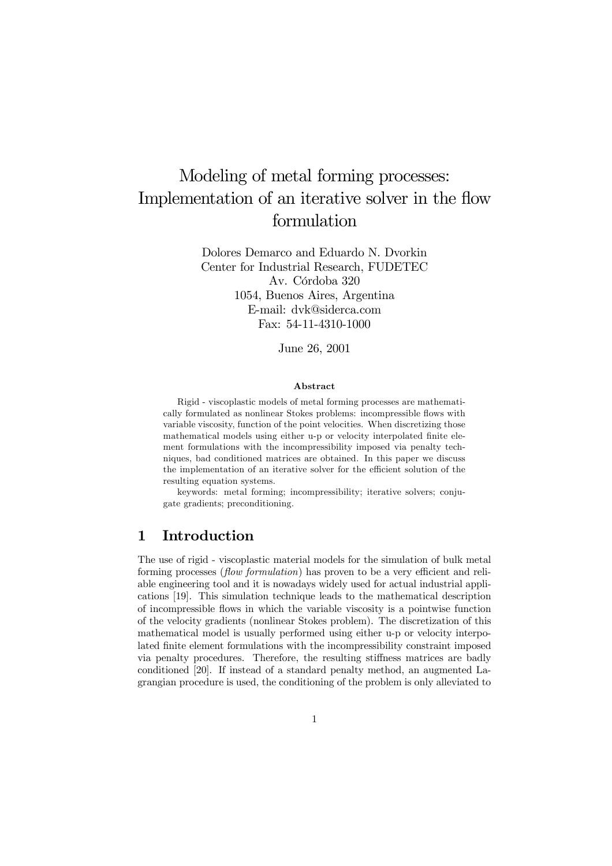# Modeling of metal forming processes: Implementation of an iterative solver in the flow formulation

Dolores Demarco and Eduardo N. Dvorkin Center for Industrial Research, FUDETEC Av. Córdoba 320 1054, Buenos Aires, Argentina E-mail: dvk@siderca.com Fax: 54-11-4310-1000

June 26, 2001

#### Abstract

Rigid - viscoplastic models of metal forming processes are mathematically formulated as nonlinear Stokes problems: incompressible flows with variable viscosity, function of the point velocities. When discretizing those mathematical models using either u-p or velocity interpolated finite element formulations with the incompressibility imposed via penalty techniques, bad conditioned matrices are obtained. In this paper we discuss the implementation of an iterative solver for the efficient solution of the resulting equation systems.

keywords: metal forming; incompressibility; iterative solvers; conjugate gradients; preconditioning.

### 1 Introduction

The use of rigid - viscoplastic material models for the simulation of bulk metal forming processes (flow formulation) has proven to be a very efficient and reliable engineering tool and it is nowadays widely used for actual industrial applications [19]. This simulation technique leads to the mathematical description of incompressible flows in which the variable viscosity is a pointwise function of the velocity gradients (nonlinear Stokes problem). The discretization of this mathematical model is usually performed using either u-p or velocity interpolated finite element formulations with the incompressibility constraint imposed via penalty procedures. Therefore, the resulting stiffness matrices are badly conditioned [20]. If instead of a standard penalty method, an augmented Lagrangian procedure is used, the conditioning of the problem is only alleviated to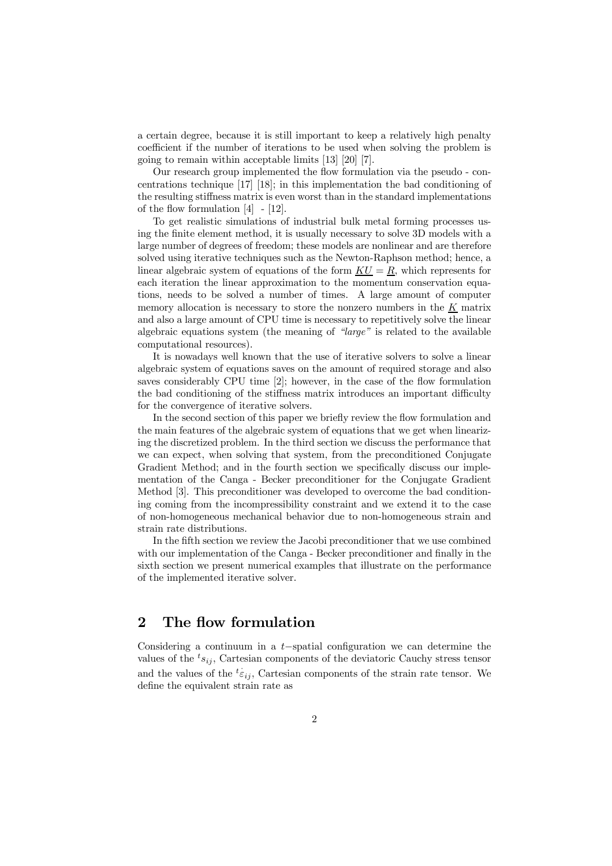a certain degree, because it is still important to keep a relatively high penalty coefficient if the number of iterations to be used when solving the problem is going to remain within acceptable limits [13] [20] [7].

Our research group implemented the flow formulation via the pseudo - concentrations technique [17] [18]; in this implementation the bad conditioning of the resulting stiffness matrix is even worst than in the standard implementations of the flow formulation  $[4] - [12]$ .

To get realistic simulations of industrial bulk metal forming processes using the finite element method, it is usually necessary to solve 3D models with a large number of degrees of freedom; these models are nonlinear and are therefore solved using iterative techniques such as the Newton-Raphson method; hence, a linear algebraic system of equations of the form  $KU = R$ , which represents for each iteration the linear approximation to the momentum conservation equations, needs to be solved a number of times. A large amount of computer memory allocation is necessary to store the nonzero numbers in the  $K$  matrix and also a large amount of CPU time is necessary to repetitively solve the linear algebraic equations system (the meaning of "large" is related to the available computational resources).

It is nowadays well known that the use of iterative solvers to solve a linear algebraic system of equations saves on the amount of required storage and also saves considerably CPU time [2]; however, in the case of the flow formulation the bad conditioning of the stiffness matrix introduces an important difficulty for the convergence of iterative solvers.

In the second section of this paper we briefly review the flow formulation and the main features of the algebraic system of equations that we get when linearizing the discretized problem. In the third section we discuss the performance that we can expect, when solving that system, from the preconditioned Conjugate Gradient Method; and in the fourth section we specifically discuss our implementation of the Canga - Becker preconditioner for the Conjugate Gradient Method [3]. This preconditioner was developed to overcome the bad conditioning coming from the incompressibility constraint and we extend it to the case of non-homogeneous mechanical behavior due to non-homogeneous strain and strain rate distributions.

In the fifth section we review the Jacobi preconditioner that we use combined with our implementation of the Canga - Becker preconditioner and finally in the sixth section we present numerical examples that illustrate on the performance of the implemented iterative solver.

### 2 The flow formulation

Considering a continuum in a t−spatial configuration we can determine the values of the  ${}^{t} s_{ij}$ , Cartesian components of the deviatoric Cauchy stress tensor and the values of the  $t \epsilon_{ij}$ , Cartesian components of the strain rate tensor. We define the equivalent strain rate as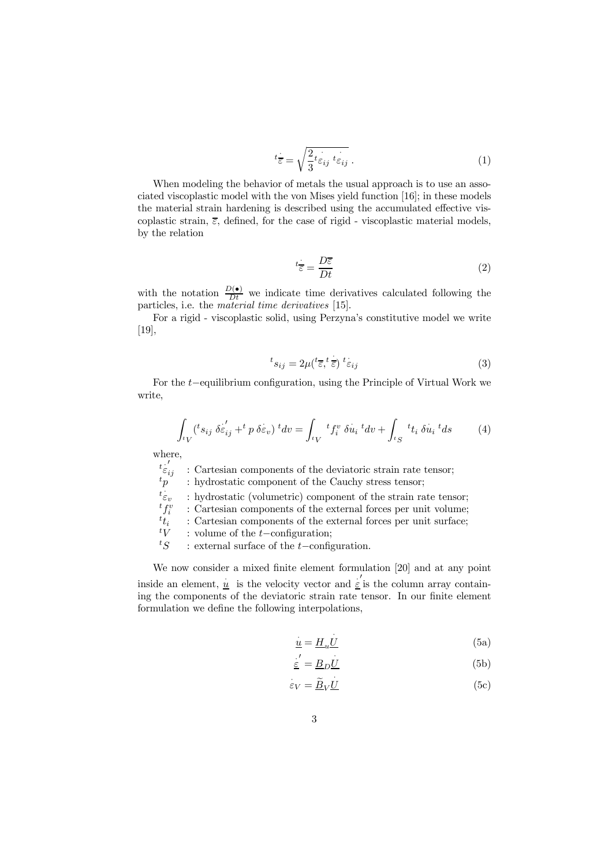$$
t_{\overline{\varepsilon}} = \sqrt{\frac{2}{3} t_{\varepsilon_{ij}} t_{\varepsilon_{ij}}}. \tag{1}
$$

When modeling the behavior of metals the usual approach is to use an associated viscoplastic model with the von Mises yield function [16]; in these models the material strain hardening is described using the accumulated effective viscoplastic strain,  $\bar{\varepsilon}$ , defined, for the case of rigid - viscoplastic material models, by the relation

$$
t\frac{\cdot}{\varepsilon} = \frac{D\overline{\varepsilon}}{Dt} \tag{2}
$$

with the notation  $\frac{D(\bullet)}{Dt}$  we indicate time derivatives calculated following the particles, i.e. the material time derivatives [15].

For a rigid - viscoplastic solid, using Perzyna's constitutive model we write [19],

$$
{}^{t} s_{ij} = 2\mu ({}^{t} \overline{\varepsilon}, {}^{t} \overline{\varepsilon}) {}^{t} \varepsilon_{ij}
$$
 (3)

For the t−equilibrium configuration, using the Principle of Virtual Work we write,

$$
\int_{^t V} ({}^t s_{ij} \, \delta \varepsilon'_{ij} + ^t p \, \delta \varepsilon_v) \, {}^t dv = \int_{^t V} {}^t f_i^v \, \delta u_i \, {}^t dv + \int_{^t S} {}^t t_i \, \delta u_i \, {}^t ds \tag{4}
$$

where,

 $t \frac{1}{\varepsilon}$ 

 $\begin{array}{l} t_{\varepsilon'_{ij}}^{i'}\\ t_{p}^{i'}\\ \end{array}$  : Cartesian components of the deviatoric strain rate tensor; : hydrostatic component of the Cauchy stress tensor;

 $t_{\stackrel{.}{\varepsilon_v}}$ : hydrostatic (volumetric) component of the strain rate tensor;

: Cartesian components of the external forces per unit volume;

 $\begin{smallmatrix} t & f_i^v \\ t & t_i \end{smallmatrix}$  $t_i$  : Cartesian components of the external forces per unit surface;<br> $t_V$  : volume of the *t*-configuration;

 $\frac{t}{s}$  : volume of the t-configuration;<br>ts : external surface of the t-configuration

: external surface of the t−configuration.

We now consider a mixed finite element formulation [20] and at any point inside an element,  $\frac{u}{\epsilon}$  is the velocity vector and  $\frac{v}{\epsilon}$  is the column array containing the components of the deviatoric strain rate tensor. In our finite element formulation we define the following interpolations,

$$
\underline{u} = \underline{H}_u \underline{U} \tag{5a}
$$

$$
\underline{\varepsilon}' = \underline{B}_D \underline{U} \tag{5b}
$$

$$
\varepsilon_V = \underline{\widetilde{B}}_V \underline{U} \tag{5c}
$$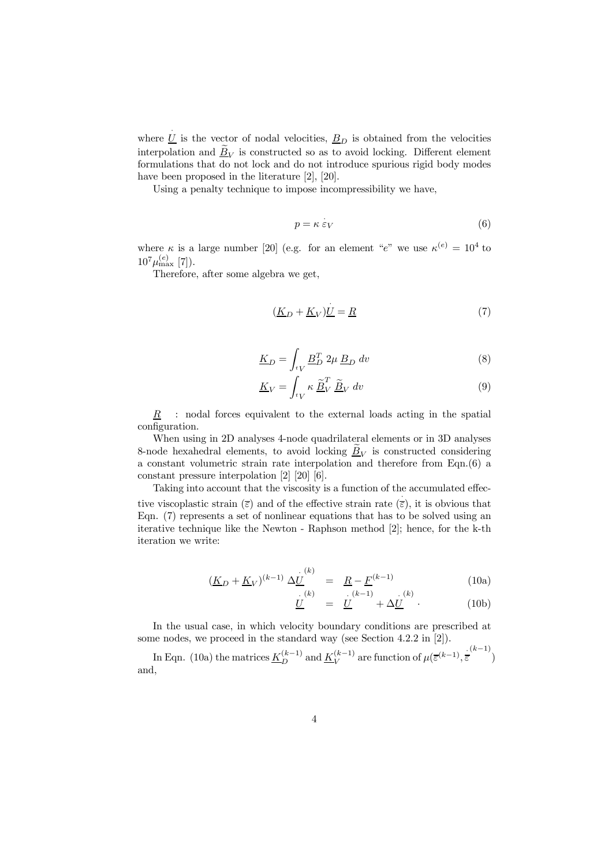where  $\underline{U}$  is the vector of nodal velocities,  $\underline{B}_D$  is obtained from the velocities interpolation and  $\underline{\tilde{B}}_V$  is constructed so as to avoid locking. Different element formulations that do not lock and do not introduce spurious rigid body modes have been proposed in the literature [2], [20].

Using a penalty technique to impose incompressibility we have,

$$
p = \kappa \varepsilon_V \tag{6}
$$

where  $\kappa$  is a large number [20] (e.g. for an element "e" we use  $\kappa^{(e)} = 10^4$  to  $10^7 \mu_{\text{max}}^{(e)}$  [7]).

Therefore, after some algebra we get,

$$
(\underline{K}_D + \underline{K}_V)\underline{U} = \underline{R} \tag{7}
$$

$$
\underline{K}_D = \int_{tV} \underline{B}_D^T 2\mu \, \underline{B}_D \, dv \tag{8}
$$

$$
\underline{K}_V = \int_{tV} \kappa \, \underline{\tilde{B}}_V^T \, \underline{\tilde{B}}_V \, dv \tag{9}
$$

 $R$  : nodal forces equivalent to the external loads acting in the spatial configuration.

When using in 2D analyses 4-node quadrilateral elements or in 3D analyses 8-node hexahedral elements, to avoid locking  $B_V$  is constructed considering a constant volumetric strain rate interpolation and therefore from Eqn.(6) a constant pressure interpolation [2] [20] [6].

Taking into account that the viscosity is a function of the accumulated effective viscoplastic strain  $(\overline{\epsilon})$  and of the effective strain rate  $(\overline{\epsilon})$ , it is obvious that Eqn. (7) represents a set of nonlinear equations that has to be solved using an iterative technique like the Newton - Raphson method [2]; hence, for the k-th iteration we write:

$$
\left(\underline{K}_D + \underline{K}_V\right)^{(k-1)} \Delta \underline{U}^{(k)} = \underline{R} - \underline{F}^{(k-1)} \tag{10a}
$$

$$
\underline{U}^{(k)} = \underline{U}^{(k-1)} + \Delta \underline{U}^{(k)} \qquad (10b)
$$

In the usual case, in which velocity boundary conditions are prescribed at some nodes, we proceed in the standard way (see Section 4.2.2 in [2]).

In Eqn. (10a) the matrices  $\underline{K}_{D}^{(k-1)}$  and  $\underline{K}_{V}^{(k-1)}$  are function of  $\mu(\overline{\varepsilon}^{(k-1)}, \overline{\overline{\varepsilon}}^{(k-1)})$ and,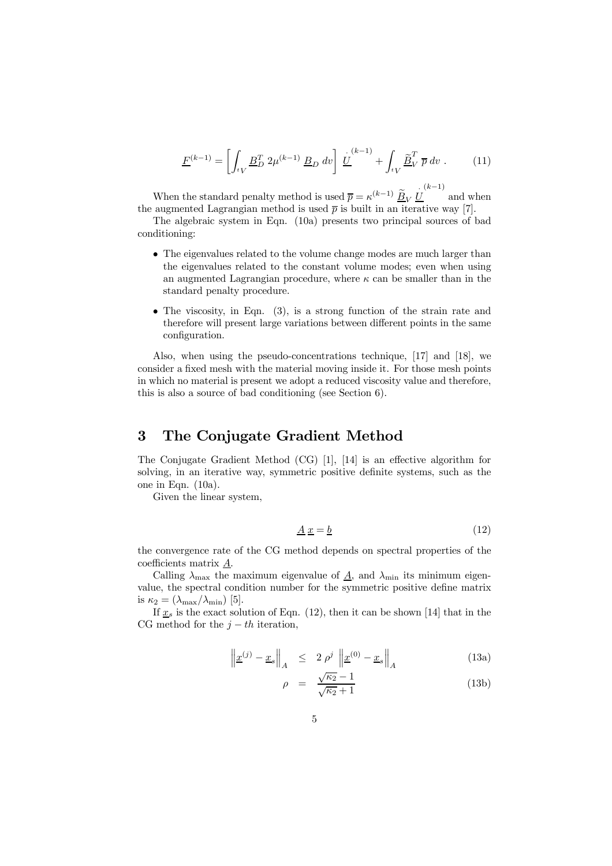$$
\underline{F}^{(k-1)} = \left[ \int_{tV} \underline{B}_D^T 2\mu^{(k-1)} \, \underline{B}_D \, dv \right] \, \underline{\dot{U}}^{(k-1)} + \int_{tV} \underline{\tilde{B}}_V^T \, \overline{p} \, dv \,. \tag{11}
$$

When the standard penalty method is used  $\overline{p} = \kappa^{(k-1)} \, \underline{\widetilde{B}}_V \, \underline{\dot{U}}$  $(k-1)$ and when the augmented Lagrangian method is used  $\bar{p}$  is built in an iterative way [7].

The algebraic system in Eqn. (10a) presents two principal sources of bad conditioning:

- $\bullet$  The eigenvalues related to the volume change modes are much larger than the eigenvalues related to the constant volume modes; even when using an augmented Lagrangian procedure, where  $\kappa$  can be smaller than in the standard penalty procedure.
- $\bullet$  The viscosity, in Eqn. (3), is a strong function of the strain rate and therefore will present large variations between different points in the same configuration.

Also, when using the pseudo-concentrations technique, [17] and [18], we consider a fixed mesh with the material moving inside it. For those mesh points in which no material is present we adopt a reduced viscosity value and therefore, this is also a source of bad conditioning (see Section 6).

### 3 The Conjugate Gradient Method

The Conjugate Gradient Method (CG) [1], [14] is an effective algorithm for solving, in an iterative way, symmetric positive definite systems, such as the one in Eqn. (10a).

Given the linear system,

$$
\underline{A}\,\underline{x} = \underline{b} \tag{12}
$$

the convergence rate of the CG method depends on spectral properties of the coefficients matrix A.

Calling  $\lambda_{\text{max}}$  the maximum eigenvalue of  $\underline{A}$ , and  $\lambda_{\text{min}}$  its minimum eigenvalue, the spectral condition number for the symmetric positive define matrix is  $\kappa_2 = (\lambda_{\text{max}}/\lambda_{\text{min}})$  [5].

If  $x_s$  is the exact solution of Eqn. (12), then it can be shown [14] that in the CG method for the  $j - th$  iteration,

$$
\left\| \underline{x}^{(j)} - \underline{x}_s \right\|_A \leq 2 \rho^j \left\| \underline{x}^{(0)} - \underline{x}_s \right\|_A \tag{13a}
$$

$$
\rho = \frac{\sqrt{\kappa_2} - 1}{\sqrt{\kappa_2} + 1} \tag{13b}
$$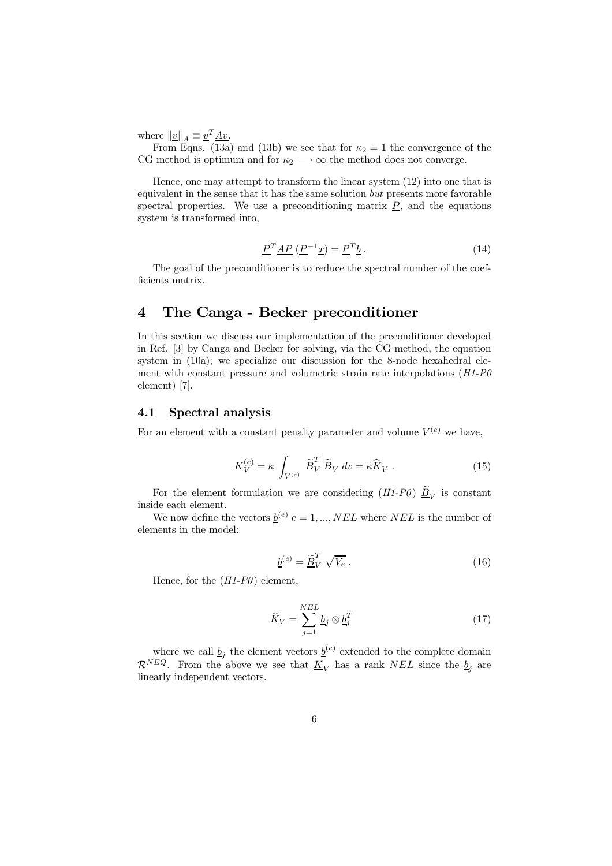where  $||\underline{v}||_A \equiv \underline{v}^T \underline{A} \underline{v}$ .

From Eqns. (13a) and (13b) we see that for  $\kappa_2 = 1$  the convergence of the CG method is optimum and for  $\kappa_2 \longrightarrow \infty$  the method does not converge.

Hence, one may attempt to transform the linear system (12) into one that is equivalent in the sense that it has the same solution but presents more favorable spectral properties. We use a preconditioning matrix  $\underline{P}$ , and the equations system is transformed into,

$$
\underline{P}^T \underline{AP} \left( \underline{P}^{-1} \underline{x} \right) = \underline{P}^T \underline{b} \,. \tag{14}
$$

The goal of the preconditioner is to reduce the spectral number of the coefficients matrix.

# 4 The Canga - Becker preconditioner

In this section we discuss our implementation of the preconditioner developed in Ref. [3] by Canga and Becker for solving, via the CG method, the equation system in (10a); we specialize our discussion for the 8-node hexahedral element with constant pressure and volumetric strain rate interpolations ( $H1-P0$ ) element) [7].

#### 4.1 Spectral analysis

For an element with a constant penalty parameter and volume  $V^{(e)}$  we have,

$$
\underline{K}_V^{(e)} = \kappa \int_{V^{(e)}} \underline{\widetilde{B}}_V^T \underline{\widetilde{B}}_V dv = \kappa \underline{\widehat{K}}_V . \qquad (15)
$$

For the element formulation we are considering  $(H1-P0) \tilde{B}_V$  is constant inside each element.

We now define the vectors  $\underline{b}^{(e)} e = 1, ..., NEL$  where NEL is the number of elements in the model:

$$
\underline{b}^{(e)} = \underline{\widetilde{B}}_V^T \sqrt{V_e} \,. \tag{16}
$$

Hence, for the  $(H1-P0)$  element,

$$
\widehat{K}_V = \sum_{j=1}^{NEL} \underline{b}_j \otimes \underline{b}_j^T \tag{17}
$$

where we call  $\underline{b}_j$  the element vectors  $\underline{b}^{(e)}$  extended to the complete domain  $\mathcal{R}^{NEQ}$ . From the above we see that  $\underline{K}_V$  has a rank NEL since the  $\underline{b}_j$  are linearly independent vectors.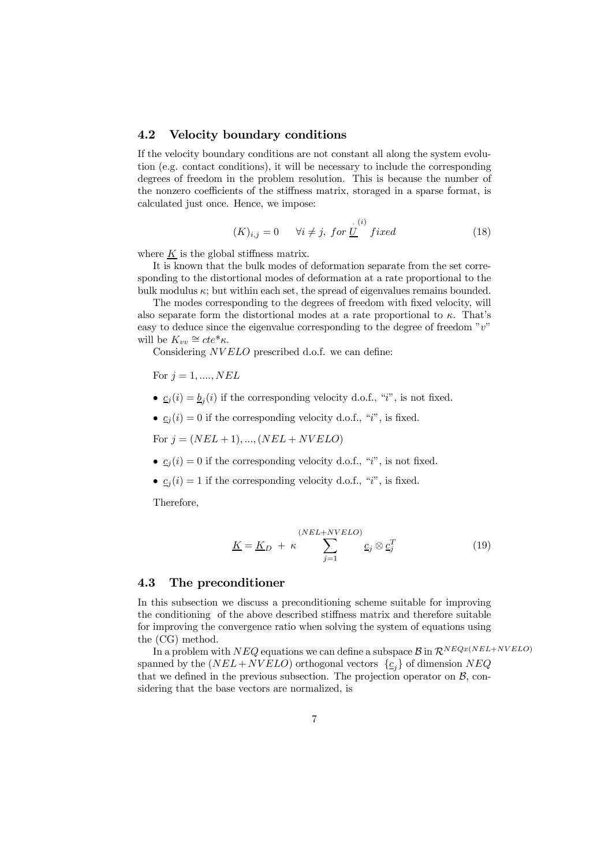#### 4.2 Velocity boundary conditions

If the velocity boundary conditions are not constant all along the system evolution (e.g. contact conditions), it will be necessary to include the corresponding degrees of freedom in the problem resolution. This is because the number of the nonzero coefficients of the stiffness matrix, storaged in a sparse format, is calculated just once. Hence, we impose:

$$
(K)_{i,j} = 0 \qquad \forall i \neq j, \ for \ \underline{U}^{(i)} \ fixed \tag{18}
$$

where  $\underline{K}$  is the global stiffness matrix.

It is known that the bulk modes of deformation separate from the set corresponding to the distortional modes of deformation at a rate proportional to the bulk modulus  $\kappa$ ; but within each set, the spread of eigenvalues remains bounded.

The modes corresponding to the degrees of freedom with fixed velocity, will also separate form the distortional modes at a rate proportional to  $\kappa$ . That's easy to deduce since the eigenvalue corresponding to the degree of freedom  $v^v$ will be  $K_{vv} \cong cte^*\kappa$ .

Considering NV ELO prescribed d.o.f. we can define:

- For  $j = 1, \ldots, NEL$
- $c_j(i) = b_j(i)$  if the corresponding velocity d.o.f., "*i*", is not fixed.
- $\underline{c}_j(i)=0$  if the corresponding velocity d.o.f., "i", is fixed.

For  $j = (NEL + 1), ..., (NEL + NVELO)$ 

- $\underline{c}_j(i)=0$  if the corresponding velocity d.o.f., "i", is not fixed.
- $\underline{c}_j(i)=1$  if the corresponding velocity d.o.f., "i", is fixed.

Therefore,

$$
\underline{K} = \underline{K}_D + \kappa \sum_{j=1}^{(NEL+NVELO)} \underline{c}_j \otimes \underline{c}_j^T \tag{19}
$$

#### 4.3 The preconditioner

In this subsection we discuss a preconditioning scheme suitable for improving the conditioning of the above described stiffness matrix and therefore suitable for improving the convergence ratio when solving the system of equations using the (CG) method.

In a problem with  $NEQ$  equations we can define a subspace  $\mathcal{B}$  in  $\mathcal{R}^{NEQx(NEL+NVELO)}$ spanned by the  $(NEL + NVELO)$  orthogonal vectors  $\{c_i\}$  of dimension NEQ that we defined in the previous subsection. The projection operator on  $B$ , considering that the base vectors are normalized, is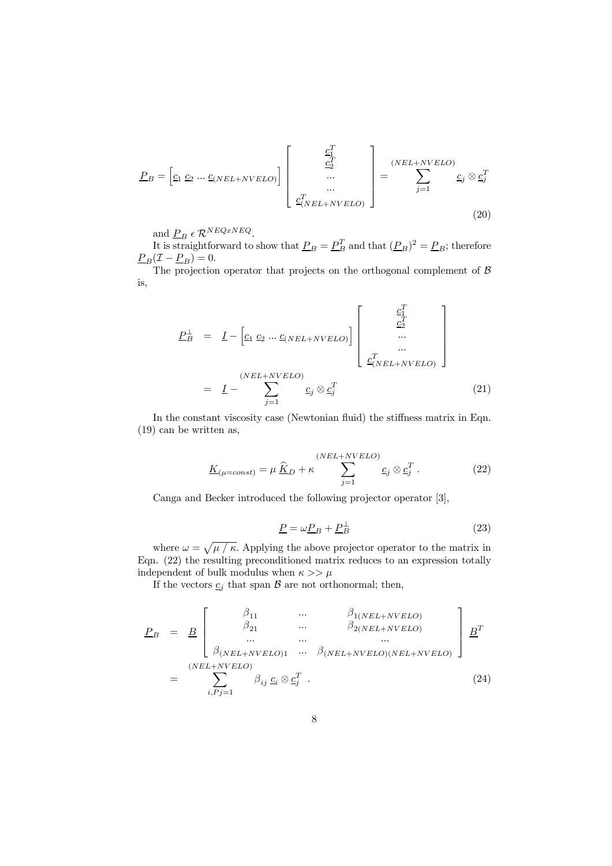$$
\underline{P}_B = \begin{bmatrix} \underline{c}_1 & \underline{c}_2 & \dots & \underline{c}_{(NEL+NVELO)} \end{bmatrix} \begin{bmatrix} \underline{c}_1^T & & \\ & \underline{c}_2^T & & \\ & \dots & & \\ & & \dots & \\ & & & \underline{c}_{(NEL+NVELO)}^T \end{bmatrix} = \sum_{j=1}^{(NEL+NVELO)} \underline{c}_j \otimes \underline{c}_j^T
$$
\n(20)

and  $P_B \in \mathcal{R}^{NEQxNEQ}$ .

It is straightforward to show that  $\underline{P}_B = \underline{P}_B^T$  and that  $(\underline{P}_B)^2 = \underline{P}_B$ ; therefore  $\underline{P}_B(\mathcal{I} - \underline{P}_B) = 0.$ 

The projection operator that projects on the orthogonal complement of  $\beta$ is,

$$
\underline{P}_{B}^{\perp} = \underline{I} - \left[ \underline{c}_{1} \underline{c}_{2} \dots \underline{c}_{(NEL+NVELO)} \right] \begin{bmatrix} \underline{c}_{1}^{T} \\ \underline{c}_{2}^{T} \\ \vdots \\ \underline{c}_{(NEL+NVELO)}^{T} \\ \underline{c}_{NEL+NVELO}^{T} \end{bmatrix}
$$
\n
$$
= \underline{I} - \sum_{j=1}^{(NEL+NVELO)} \underline{c}_{j} \otimes \underline{c}_{j}^{T} \qquad (21)
$$

In the constant viscosity case (Newtonian fluid) the stiffness matrix in Eqn. (19) can be written as,

$$
\underline{K}_{(\mu=const)} = \mu \, \underline{\hat{K}}_D + \kappa \sum_{j=1}^{(NEL+NVELO)} \underline{c}_j \otimes \underline{c}_j^T \,. \tag{22}
$$

Canga and Becker introduced the following projector operator [3],

$$
\underline{P} = \omega \underline{P}_B + \underline{P}_B^{\perp} \tag{23}
$$

where  $\omega = \sqrt{\mu / \kappa}$ . Applying the above projector operator to the matrix in Eqn. (22) the resulting preconditioned matrix reduces to an expression totally independent of bulk modulus when  $\kappa >> \mu$ 

If the vectors  $c_j$  that span  $B$  are not orthonormal; then,

$$
\underline{P}_{B} = \underline{B} \begin{bmatrix} \beta_{11} & \cdots & \beta_{1(NEL+NVELO)} \\ \beta_{21} & \cdots & \beta_{2(NEL+NVELO)} \\ \cdots & \cdots & \cdots \\ \beta_{(NEL+NVELO)1} & \cdots & \beta_{(NEL+NVELO)(NEL+NVELO)} \end{bmatrix} \underline{B}^{T}
$$
\n
$$
= \sum_{i, Pj=1}^{(NEL+NVELO)} \beta_{ij} c_{i} \otimes c_{j}^{T} .
$$
\n(24)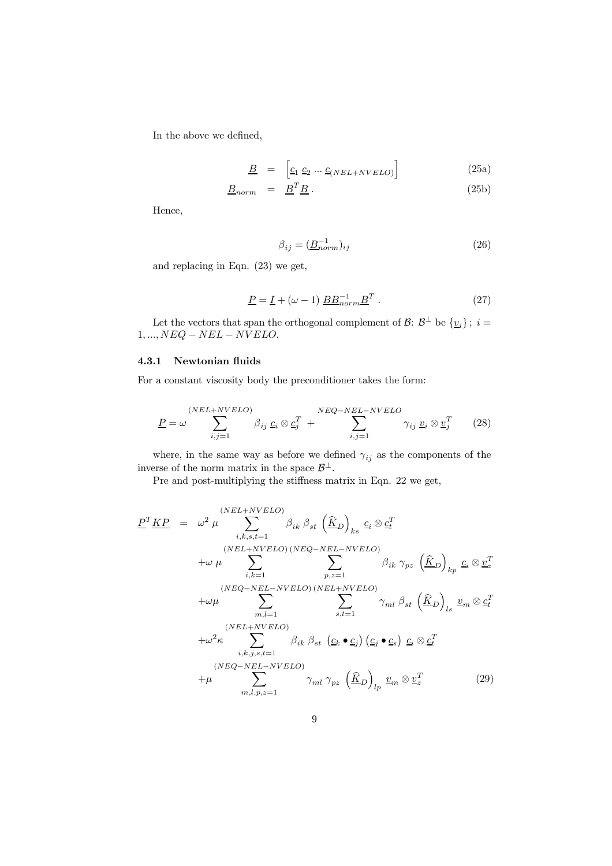In the above we defined,

$$
\underline{B} = \left[ \underline{c}_1 \ \underline{c}_2 \ \cdots \ \underline{c}_{(NEL+NVELO)} \right] \tag{25a}
$$

$$
\underline{B}_{norm} = \underline{B}^T \underline{B} \,. \tag{25b}
$$

Hence,

$$
\beta_{ij} = (\underline{B}_{norm}^{-1})_{ij} \tag{26}
$$

and replacing in Eqn. (23) we get,

$$
\underline{P} = \underline{I} + (\omega - 1) \underline{BB}_{norm}^{-1} \underline{B}^T . \qquad (27)
$$

Let the vectors that span the orthogonal complement of  $\mathcal{B}$ :  $\mathcal{B}^{\perp}$  be  $\{v_i\}$ ;  $i =$  $1, ..., NEQ - NEL - NVELO.$ 

#### 4.3.1 Newtonian fluids

For a constant viscosity body the preconditioner takes the form:

$$
\underline{P} = \omega \sum_{i,j=1}^{(NEL+NVELO)} \beta_{ij} \underline{c}_i \otimes \underline{c}_j^T + \sum_{i,j=1}^{NEQ-NEL-NVELO} \gamma_{ij} \underline{v}_i \otimes \underline{v}_j^T \qquad (28)
$$

where, in the same way as before we defined  $\gamma_{ij}$  as the components of the inverse of the norm matrix in the space  $\mathcal{B}^{\perp}.$ 

Pre and post-multiplying the stiffness matrix in Eqn. 22 we get,

$$
\underline{P}^T \underline{KP} = \omega^2 \mu \sum_{i,k,s,t=1}^{(NEL+NVELO)} \beta_{ik} \beta_{st} (\hat{K}_D)_{ks} c_i \otimes c_t^T
$$
\n
$$
+ \omega \mu \sum_{i,k=1}^{(NEL+NVELO)} \sum_{p,z=1}^{(NEL+NVELO)} \beta_{ik} \gamma_{pz} (\hat{K}_D)_{kp} c_i \otimes c_t^T
$$
\n
$$
+ \omega \mu \sum_{i,k=1}^{(NEQ-NEL-NVELO)} \sum_{p,z=1}^{(NEQ-NEL-NVELO)} \gamma_{ml} \beta_{st} (\hat{K}_D)_{ls} v_m \otimes c_t^T
$$
\n
$$
+ \omega^2 \kappa \sum_{i,k,j,s,t=1}^{(NEL+NVELO)} \beta_{ik} \beta_{st} (c_k \bullet c_j) (c_j \bullet c_s) c_i \otimes c_t^T
$$
\n
$$
+ \mu \sum_{m,l,p,z=1}^{(NEQ-NEL-NVELO)} \gamma_{ml} \gamma_{pz} (\hat{K}_D)_{lp} v_m \otimes v_z^T
$$
\n(29)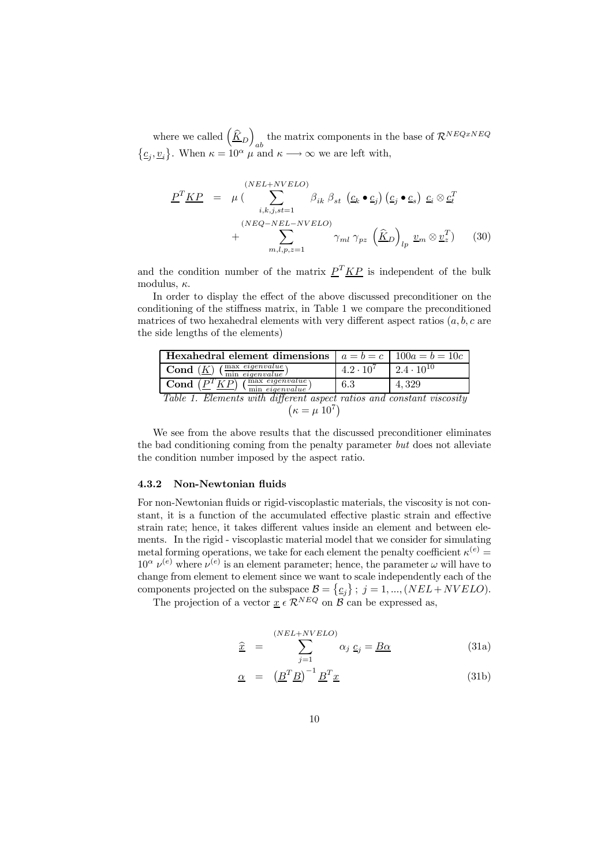where we called  $\left(\frac{\widehat{K}}{D}\right)$ the matrix components in the base of  $\mathcal{R}^{NEQxNEQ}$  $\{\underline{c}_j, \underline{v}_i\}$ . When  $\kappa = 10^{\alpha}$   $\mu$  and  $\kappa \longrightarrow \infty$  we are left with,

$$
\underline{P}^T \underline{KP} = \mu \left( \sum_{i,k,j,st=1}^{(NEL+NVELO)} \beta_{ik} \beta_{st} \left( \underline{c}_k \bullet \underline{c}_j \right) \left( \underline{c}_j \bullet \underline{c}_s \right) \underline{c}_i \otimes \underline{c}_t^T + \sum_{m,l,p,z=1}^{(NEQ-NEL-NVELO)} \gamma_{ml} \gamma_{pz} \left( \widehat{\underline{K}}_D \right)_{lp} \underline{v}_m \otimes \underline{v}_z^T \right) \tag{30}
$$

and the condition number of the matrix  $P^T K P$  is independent of the bulk modulus,  $\kappa$ .

In order to display the effect of the above discussed preconditioner on the conditioning of the stiffness matrix, in Table 1 we compare the preconditioned matrices of two hexahedral elements with very different aspect ratios  $(a, b, c$  are the side lengths of the elements)

| <b>Hexahedral element dimensions</b> $ a = b = c$   100a = b = 10c                    |                                        |       |
|---------------------------------------------------------------------------------------|----------------------------------------|-------|
| <b>Cond</b> $(\underline{K})$ $(\frac{\text{max} eigenvalue}{\text{min} eigenvalue})$ | $4.2 \cdot 10^7$   $2.4 \cdot 10^{10}$ |       |
| Cond $(P^T K P)(\frac{\text{max eigenvalue}}{\text{min eigenvalue}})$                 | 6.3                                    | 4.329 |
| Table 1. Elements with different aspect ratios and constant viscosity                 |                                        |       |

$$
(\kappa = \mu \, 10^7)
$$

We see from the above results that the discussed preconditioner eliminates the bad conditioning coming from the penalty parameter but does not alleviate the condition number imposed by the aspect ratio.

#### 4.3.2 Non-Newtonian fluids

For non-Newtonian fluids or rigid-viscoplastic materials, the viscosity is not constant, it is a function of the accumulated effective plastic strain and effective strain rate; hence, it takes different values inside an element and between elements. In the rigid - viscoplastic material model that we consider for simulating metal forming operations, we take for each element the penalty coefficient  $\kappa^{(e)} =$  $10^{\alpha} \nu^{(e)}$  where  $\nu^{(e)}$  is an element parameter; hence, the parameter  $\omega$  will have to change from element to element since we want to scale independently each of the components projected on the subspace  $\mathcal{B} = \{\underline{c}_j\}$ ;  $j = 1, ..., (NEL + NVELO)$ .

The projection of a vector  $\underline{x} \in \mathcal{R}^{NEQ}$  on  $\mathcal{B}$  can be expressed as,

$$
\hat{\underline{x}} = \sum_{j=1}^{(NEL+NVELO)} \alpha_j \underline{c}_j = \underline{B\alpha} \tag{31a}
$$

$$
\underline{\alpha} = \left(\underline{B}^T \underline{B}\right)^{-1} \underline{B}^T \underline{x} \tag{31b}
$$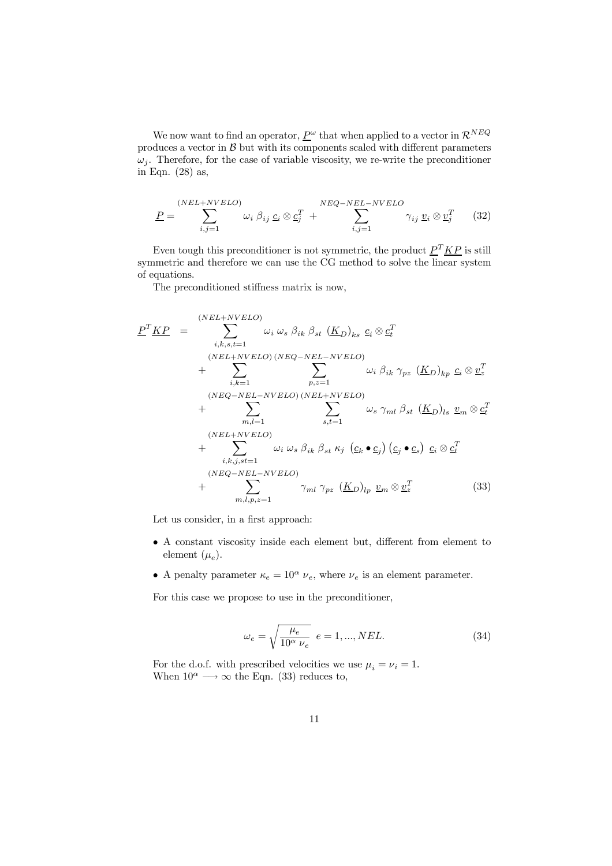We now want to find an operator,  $\underline{P}^{\omega}$  that when applied to a vector in<br>  $\mathcal{R}^{NEQ}$ produces a vector in  $B$  but with its components scaled with different parameters  $\omega_j$ . Therefore, for the case of variable viscosity, we re-write the preconditioner in Eqn. (28) as,

$$
\underline{P} = \sum_{i,j=1}^{(NEL+NVELO)} \omega_i \beta_{ij} \underline{c}_i \otimes \underline{c}_j^T + \sum_{i,j=1}^{NEQ-NEL-NVELO} \gamma_{ij} \underline{v}_i \otimes \underline{v}_j^T \qquad (32)
$$

Even tough this preconditioner is not symmetric, the product  $P^T K P$  is still symmetric and therefore we can use the CG method to solve the linear system of equations.

The preconditioned stiffness matrix is now,

$$
\underline{P}^T \underline{KP} = \sum_{i,k,s,t=1}^{(NEL+NVELO)} \omega_i \omega_s \beta_{ik} \beta_{st} (\underline{K}_D)_{ks} c_i \otimes c_t^T \n+ \sum_{i,k=1}^{(NEL+NVELO)} \sum_{p,z=1}^{(NEL+NVELO)} \omega_i \beta_{ik} \gamma_{pz} (\underline{K}_D)_{kp} c_i \otimes c_t^T \n+ \sum_{i,k=1}^{(NEQ-NEL-NVELO)} \sum_{p,z=1}^{(NEQ-NEL-NVELO)} \omega_s \gamma_{ml} \beta_{st} (\underline{K}_D)_{ls} \underline{v}_m \otimes c_t^T \n+ \sum_{i,k,j,st=1}^{(NEL+NVELO)} \omega_i \omega_s \beta_{ik} \beta_{st} \kappa_j (\underline{c}_k \bullet \underline{c}_j) (\underline{c}_j \bullet \underline{c}_s) \underline{c}_i \otimes c_t^T \n+ \sum_{i,k,j,st=1}^{(NEQ-NEL-NVELO)} \gamma_{ml} \gamma_{pz} (\underline{K}_D)_{lp} \underline{v}_m \otimes \underline{v}_z^T
$$
\n(33)

Let us consider, in a first approach:

- A constant viscosity inside each element but, different from element to element  $(\mu_e)$ .
- A penalty parameter  $\kappa_e = 10^{\alpha} \nu_e$ , where  $\nu_e$  is an element parameter.

For this case we propose to use in the preconditioner,

$$
\omega_e = \sqrt{\frac{\mu_e}{10^{\alpha} \nu_e}} \ e = 1, ..., NEL.
$$
 (34)

For the d.o.f. with prescribed velocities we use  $\mu_i = \nu_i = 1$ . When  $10^{\alpha} \longrightarrow \infty$  the Eqn. (33) reduces to,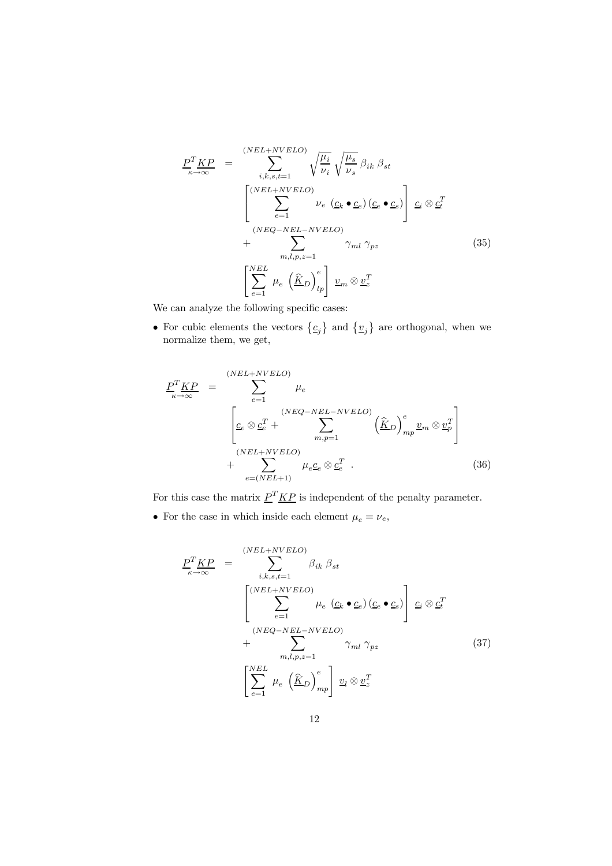$$
\frac{P^T K P}{\kappa \to \infty} = \sum_{i,k,s,t=1}^{(NEL+NVELO)} \sqrt{\frac{\mu_i}{\nu_i}} \sqrt{\frac{\mu_s}{\nu_s}} \beta_{ik} \beta_{st}
$$
\n
$$
\left[ \sum_{e=1}^{(NEL+NVELO)} \nu_e \left( \underline{c}_k \bullet \underline{c}_e \right) \left( \underline{c}_e \bullet \underline{c}_s \right) \right] \underline{c}_i \otimes \underline{c}_t^T
$$
\n
$$
+ \sum_{m,l,p,z=1}^{(NEL)} \gamma_{ml} \gamma_{pz} \qquad (35)
$$
\n
$$
\left[ \sum_{e=1}^{NEL} \mu_e \left( \underline{\hat{K}}_D \right)_{lp}^e \right] \underline{v}_m \otimes \underline{v}_z^T
$$

We can analyze the following specific cases:

• For cubic elements the vectors  $\{\underline{c}_j\}$  and  $\{\underline{v}_j\}$  are orthogonal, when we normalize them, we get,

$$
\underline{P}_{\kappa \to \infty}^{T} \underline{KP} = \sum_{e=1}^{(NEL+NVELO)} \mu_e
$$
\n
$$
\left[ \underline{c}_e \otimes \underline{c}_e^T + \sum_{m,p=1}^{(NEQ-NEL-NVELO)} \left( \widehat{\underline{K}}_D \right)_{mp}^e \underline{v}_m \otimes \underline{v}_p^T \right]
$$
\n
$$
+ \sum_{e=(NEL+1)}^{(NEL+NVELO)} \mu_e \underline{c}_e \otimes \underline{c}_e^T .
$$
\n(36)

For this case the matrix  $\underline{P}^T \underline{KP}$  is independent of the penalty parameter.

 $\bullet\,$  For the case in which inside each element  $\mu_e=\nu_e,$ 

$$
\underline{P}_{\kappa \to \infty}^{T} \underline{KP} = \sum_{i,k,s,t=1}^{(NEL+NVELO)} \beta_{ik} \beta_{st}
$$
\n
$$
\left[ \sum_{e=1}^{(NEL+NVELO)} \mu_e \left( \underline{c}_k \bullet \underline{c}_e \right) \left( \underline{c}_e \bullet \underline{c}_s \right) \right] \underline{c}_i \otimes \underline{c}_t^T
$$
\n
$$
+ \sum_{m,l,p,z=1}^{(NEL-NVELO)} \gamma_{ml} \gamma_{pz} \qquad (37)
$$
\n
$$
\left[ \sum_{e=1}^{NEL} \mu_e \left( \underline{\hat{K}}_D \right)_{mp}^e \right] \underline{v}_l \otimes \underline{v}_z^T
$$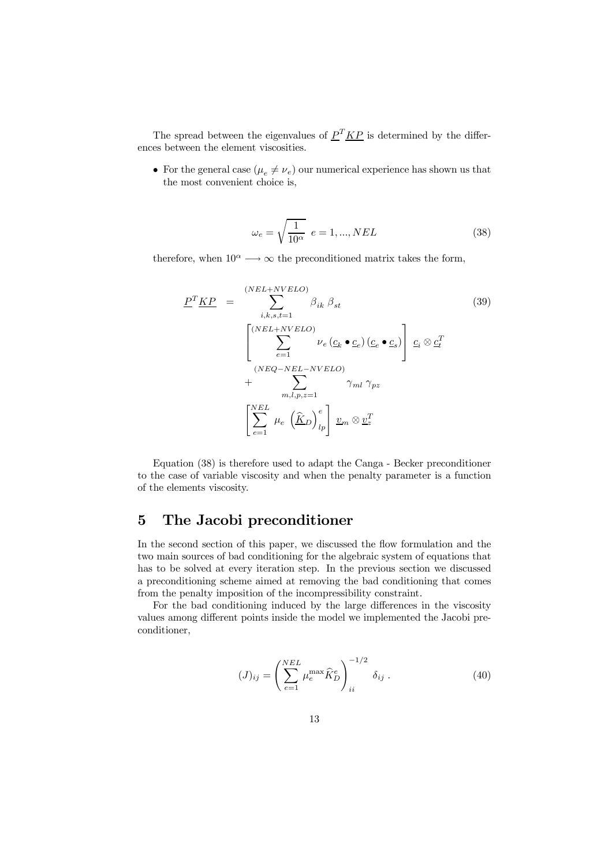The spread between the eigenvalues of  $P^T K P$  is determined by the differences between the element viscosities.

• For the general case  $(\mu_e \neq \nu_e)$  our numerical experience has shown us that the most convenient choice is,

$$
\omega_e = \sqrt{\frac{1}{10^{\alpha}}} \quad e = 1, ..., NEL \tag{38}
$$

therefore, when  $10^{\alpha} \longrightarrow \infty$  the preconditioned matrix takes the form,

$$
\underline{P}^T \underline{KP} = \sum_{i,k,s,t=1}^{(NEL+NVELO)} \beta_{ik} \beta_{st} \qquad (39)
$$
\n
$$
\left[ \sum_{e=1}^{(NEL+NVELO)} \nu_e (\underline{c}_k \bullet \underline{c}_e) (\underline{c}_e \bullet \underline{c}_s) \right] \underline{c}_i \otimes \underline{c}_t^T
$$
\n
$$
+ \sum_{m,l,p,z=1}^{(NEL)} \gamma_{ml} \gamma_{pz}
$$
\n
$$
\left[ \sum_{e=1}^{NEL} \mu_e (\underline{\hat{K}}_D)_{lp}^e \right] \underline{v}_m \otimes \underline{v}_z^T
$$
\n(9)

Equation (38) is therefore used to adapt the Canga - Becker preconditioner to the case of variable viscosity and when the penalty parameter is a function of the elements viscosity.

# 5 The Jacobi preconditioner

In the second section of this paper, we discussed the flow formulation and the two main sources of bad conditioning for the algebraic system of equations that has to be solved at every iteration step. In the previous section we discussed a preconditioning scheme aimed at removing the bad conditioning that comes from the penalty imposition of the incompressibility constraint.

For the bad conditioning induced by the large differences in the viscosity values among different points inside the model we implemented the Jacobi preconditioner,

$$
(J)_{ij} = \left(\sum_{e=1}^{NEL} \mu_e^{\max} \hat{K}_D^e\right)_{ii}^{-1/2} \delta_{ij} . \tag{40}
$$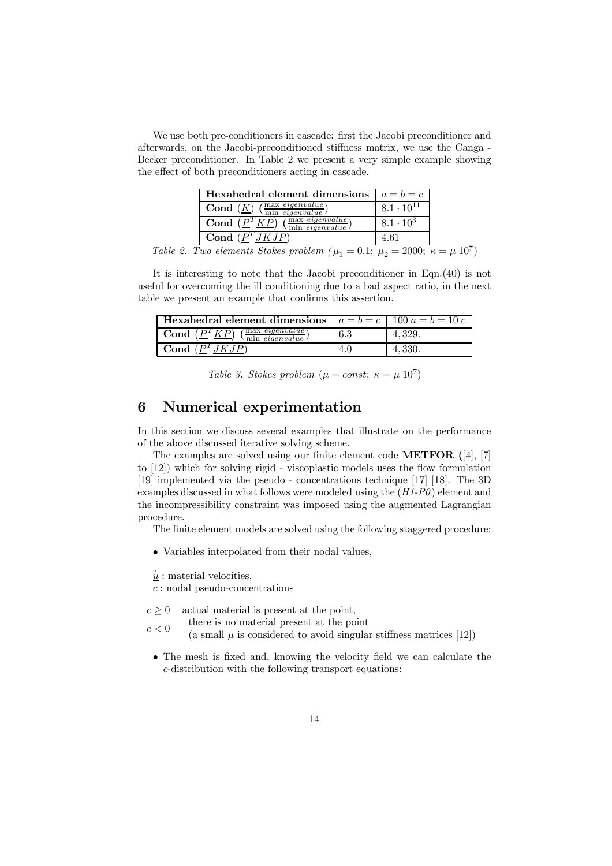We use both pre-conditioners in cascade: first the Jacobi preconditioner and afterwards, on the Jacobi-preconditioned stiffness matrix, we use the Canga - Becker preconditioner. In Table 2 we present a very simple example showing the effect of both preconditioners acting in cascade.

| Hexahedral element dimensions $ a = b = c$                                                                      |                     |
|-----------------------------------------------------------------------------------------------------------------|---------------------|
| $\overline{\text{Cond}(\underline{K})}$ $(\frac{\text{max} \text{ everywhere}}{\text{min} \text{ eigenvalue}})$ | $8.1 \cdot 10^{11}$ |
| max eigenvalue<br>Cond<br>min eigenvalue                                                                        | $8.1 \cdot 10^{3}$  |
| Cond                                                                                                            |                     |

Table 2. Two elements Stokes problem  $(\mu_1 = 0.1; \ \mu_2 = 2000; \ \kappa = \mu \ 10^7)$ 

It is interesting to note that the Jacobi preconditioner in Eqn.(40) is not useful for overcoming the ill conditioning due to a bad aspect ratio, in the next table we present an example that confirms this assertion,

| <b>Hexahedral element dimensions</b> $ a = b = c   100 a = b = 10 c$ |     |         |
|----------------------------------------------------------------------|-----|---------|
| $\int$ max <i>eigenvalue</i><br>Cond<br>min eigenvalue               | 6.3 | 4.329.  |
| Cond                                                                 | 4.U | 4, 330. |

Table 3. Stokes problem  $(\mu = const; \ \kappa = \mu \ 10^7)$ 

# 6 Numerical experimentation

In this section we discuss several examples that illustrate on the performance of the above discussed iterative solving scheme.

The examples are solved using our finite element code METFOR ([4], [7] to [12]) which for solving rigid - viscoplastic models uses the flow formulation [19] implemented via the pseudo - concentrations technique [17] [18]. The 3D examples discussed in what follows were modeled using the (H1-P0 ) element and the incompressibility constraint was imposed using the augmented Lagrangian procedure.

The finite element models are solved using the following staggered procedure:

• Variables interpolated from their nodal values,

 $\frac{u}{u}$ : material velocities,

c : nodal pseudo-concentrations

 $c \geq 0$  actual material is present at the point,

- $c < 0$  there is no material present at the point
- (a small  $\mu$  is considered to avoid singular stiffness matrices [12])
- The mesh is fixed and, knowing the velocity field we can calculate the c-distribution with the following transport equations: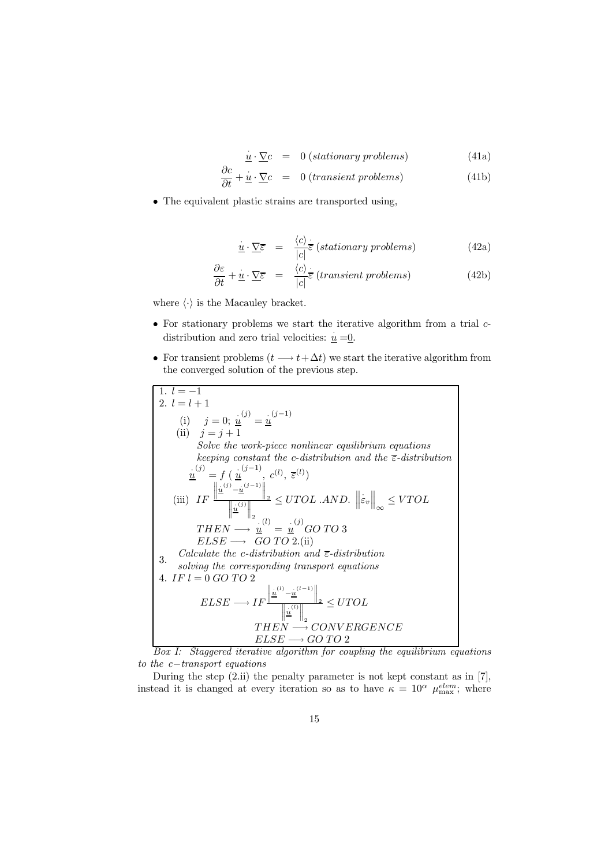$\dot{\underline{u}} \cdot \underline{\nabla}c = 0$  (stationary problems) (41a)

$$
\frac{\partial c}{\partial t} + \underline{\dot{u}} \cdot \underline{\nabla} c = 0 \text{ (transient problems)}
$$
(41b)

 $\bullet$  The equivalent plastic strains are transported using,

$$
\dot{\underline{u}} \cdot \underline{\nabla} \overline{\varepsilon} = \frac{\langle c \rangle}{|c|} \overline{\varepsilon} \text{ (stationary problems)} \tag{42a}
$$

$$
\frac{\partial \varepsilon}{\partial t} + \underline{\dot{u}} \cdot \underline{\nabla} \overline{\varepsilon} = \frac{\langle c \rangle}{|c|} \overline{\varepsilon} \text{ (transient problems)}
$$
(42b)

where  $\langle \cdot \rangle$  is the Macauley bracket.

- $\bullet$  For stationary problems we start the iterative algorithm from a trial  $c$ distribution and zero trial velocities:  $\underline{u} = 0$ .
- For transient problems  $(t \rightarrow t+\Delta t)$  we start the iterative algorithm from the converged solution of the previous step.

1. 
$$
l = -1
$$
  
\n2.  $l = l + 1$   
\n(i)  $j = 0$ ;  $\frac{u}{u} = \frac{u}{u}$   
\n(ii)  $j = j + 1$   
\nSolve the work-price nonlinear equilibrium equations  
\nkeeping constant the c-distribution and the  $\overline{\epsilon}$ -distribution  
\n $\frac{u}{u} = f(\frac{u}{u}, c^{(l)}, \overline{\epsilon}^{(l)})$   
\n(iii)  $IF \frac{\left\|\frac{u}{u}^{(j)} - \frac{u}{u}^{(j-1)}\right\|_2}{\left\|\frac{u}{u}^{(j)}\right\|_2} \leq UTOL$ .*AND.*  $\left\|\dot{\epsilon}_v\right\|_{\infty} \leq VTOL$   
\n $THEN \rightarrow \frac{u}{u} = \frac{u}{u} \cdot GO \cdot TO \cdot 3$   
\n $ELSE \rightarrow GO \cdot TO \cdot 2$ .  
\n3. Calculate the c-distribution and  $\overline{\epsilon}$ -distribution  
\n4. IF  $l = 0$  GO \cdot TO \cdot 2  
\n4. IF  $l = 0$  GO \cdot TO \cdot 2  
\n $ELSE \rightarrow IF \frac{\left\|\frac{u}{u}^{(l)} - \frac{u}{u}^{(l-1)}\right\|_2}{\left\|\frac{u}{u}^{(l)} - \frac{u}{u}^{(l-1)}\right\|_2} \leq UTOL$   
\n $THEN \rightarrow CONVERGENCE$   
\n5.

Box I: Staggered iterative algorithm for coupling the equilibrium equations to the c−transport equations

During the step (2.ii) the penalty parameter is not kept constant as in [7], instead it is changed at every iteration so as to have  $\kappa = 10^{\alpha} \mu_{\text{max}}^{elem}$ ; where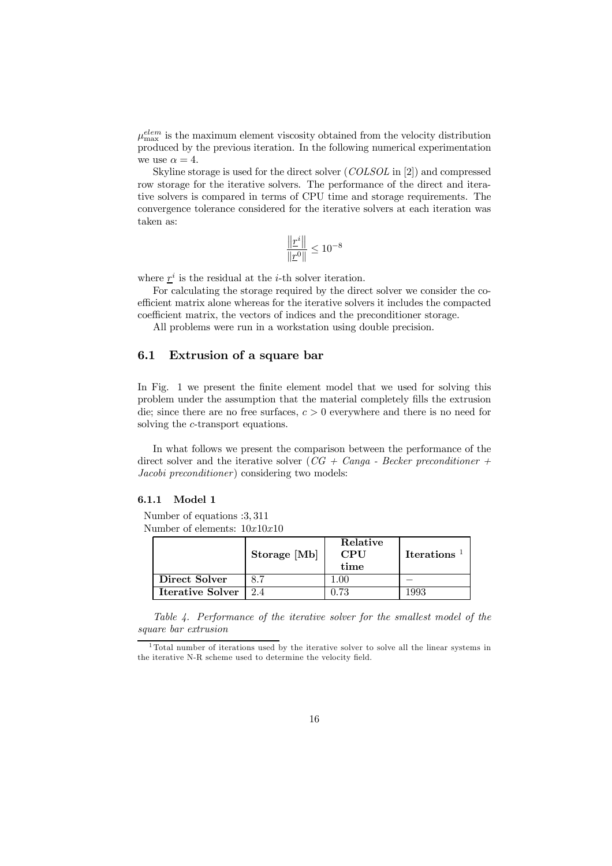$\mu_{\text{max}}^{elem}$  is the maximum element viscosity obtained from the velocity distribution produced by the previous iteration. In the following numerical experimentation we use  $\alpha = 4$ .

Skyline storage is used for the direct solver (COLSOL in [2]) and compressed row storage for the iterative solvers. The performance of the direct and iterative solvers is compared in terms of CPU time and storage requirements. The convergence tolerance considered for the iterative solvers at each iteration was taken as:

$$
\frac{\left\| \underline{r}^i \right\|}{\| \underline{r}^0 \|} \leq 10^{-8}
$$

where  $\underline{r}^i$  is the residual at the *i*-th solver iteration.

For calculating the storage required by the direct solver we consider the coefficient matrix alone whereas for the iterative solvers it includes the compacted coefficient matrix, the vectors of indices and the preconditioner storage.

All problems were run in a workstation using double precision.

#### 6.1 Extrusion of a square bar

In Fig. 1 we present the finite element model that we used for solving this problem under the assumption that the material completely fills the extrusion die; since there are no free surfaces,  $c > 0$  everywhere and there is no need for solving the c-transport equations.

In what follows we present the comparison between the performance of the direct solver and the iterative solver  $(CG + Canqa - Becker\ preconditioner +$ Jacobi preconditioner) considering two models:

#### 6.1.1 Model 1

Number of equations :3, 311 Number of elements:  $10x10x10$ 

|                         | Storage [Mb] | Relative<br><b>CPU</b><br>time | <b>Iterations</b> |
|-------------------------|--------------|--------------------------------|-------------------|
| Direct Solver           |              |                                |                   |
| <b>Iterative Solver</b> |              | - 73                           | .992.             |

Table 4. Performance of the iterative solver for the smallest model of the square bar extrusion

<sup>&</sup>lt;sup>1</sup>Total number of iterations used by the iterative solver to solve all the linear systems in the iterative N-R scheme used to determine the velocity field.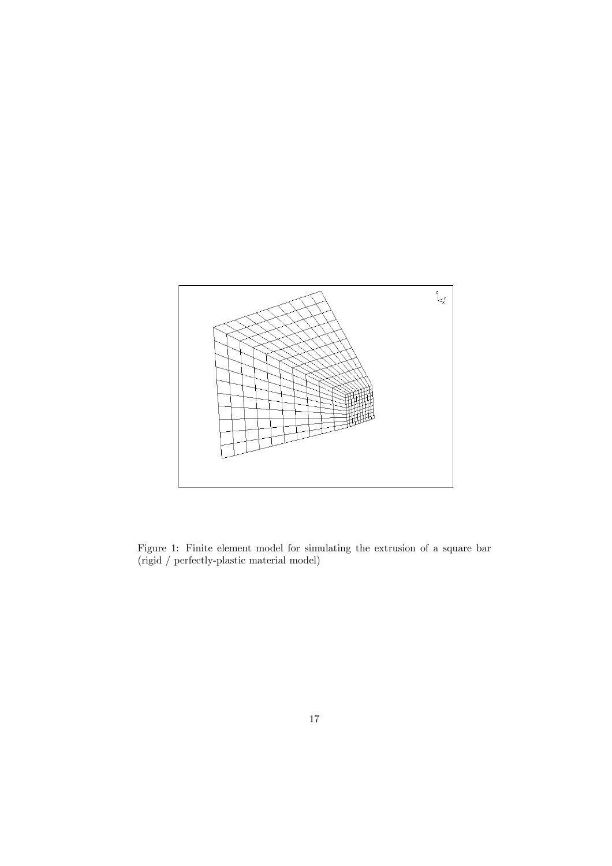

Figure 1: Finite element model for simulating the extrusion of a square bar (rigid / perfectly-plastic material model)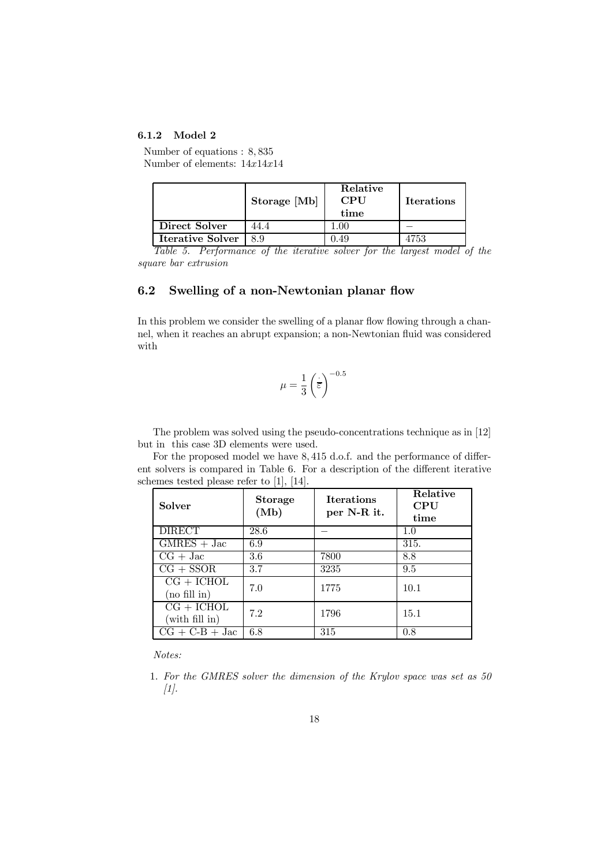#### 6.1.2 Model 2

Number of equations : 8, 835 Number of elements: 14x14x14

|                         | Storage [Mb] | Relative<br><b>CPU</b><br>time | <b>Iterations</b> |
|-------------------------|--------------|--------------------------------|-------------------|
| Direct Solver           | 44.4         |                                |                   |
| <b>Iterative Solver</b> | 8 Q          | -49                            |                   |

Table 5. Performance of the iterative solver for the largest model of the square bar extrusion

### 6.2 Swelling of a non-Newtonian planar flow

In this problem we consider the swelling of a planar flow flowing through a channel, when it reaches an abrupt expansion; a non-Newtonian fluid was considered with

$$
\mu = \frac{1}{3} \left(\frac{1}{\varepsilon}\right)^{-0.5}
$$

The problem was solved using the pseudo-concentrations technique as in [12] but in this case 3D elements were used.

For the proposed model we have 8, 415 d.o.f. and the performance of different solvers is compared in Table 6. For a description of the different iterative schemes tested please refer to [1], [14].

| <b>Solver</b>                          | Storage<br>(Mb) | <b>Iterations</b><br>per N-R it. | Relative<br><b>CPU</b><br>time |
|----------------------------------------|-----------------|----------------------------------|--------------------------------|
| <b>DIRECT</b>                          | 28.6            |                                  | 1.0                            |
| $\overline{\text{GMRES}} + \text{Jac}$ | 6.9             |                                  | 315.                           |
| $CG + Jac$                             | 3.6             | 7800                             | 8.8                            |
| $CG + SSOR$                            | 3.7             | 3235                             | 9.5                            |
| $CG + ICHOL$<br>(no fill in)           | 7.0             | 1775                             | 10.1                           |
| $CG + ICHOL$<br>(with fill in)         | 7.2             | 1796                             | 15.1                           |
| $CG + C-B + Jac$                       | 6.8             | 315                              | 0.8                            |

Notes:

1. For the GMRES solver the dimension of the Krylov space was set as 50  $[1]$ .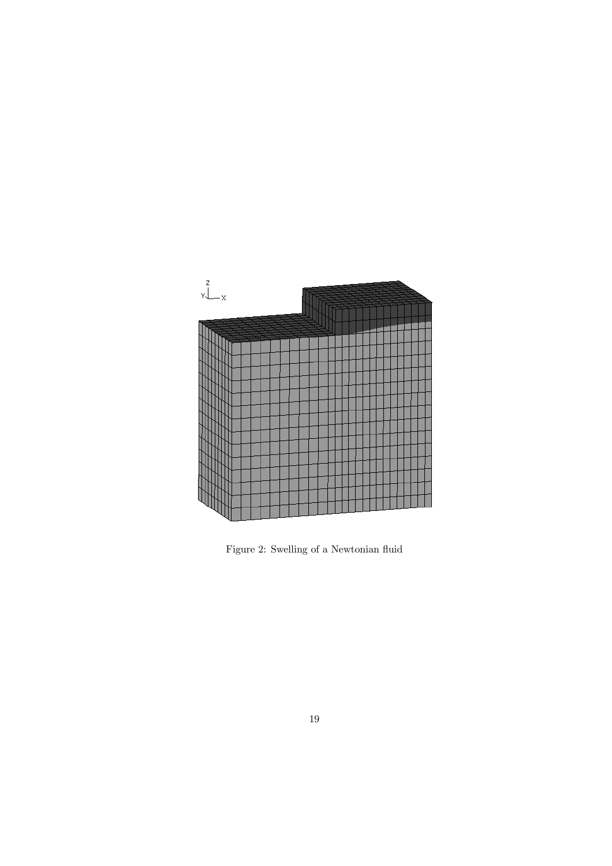

Figure 2: Swelling of a Newtonian fluid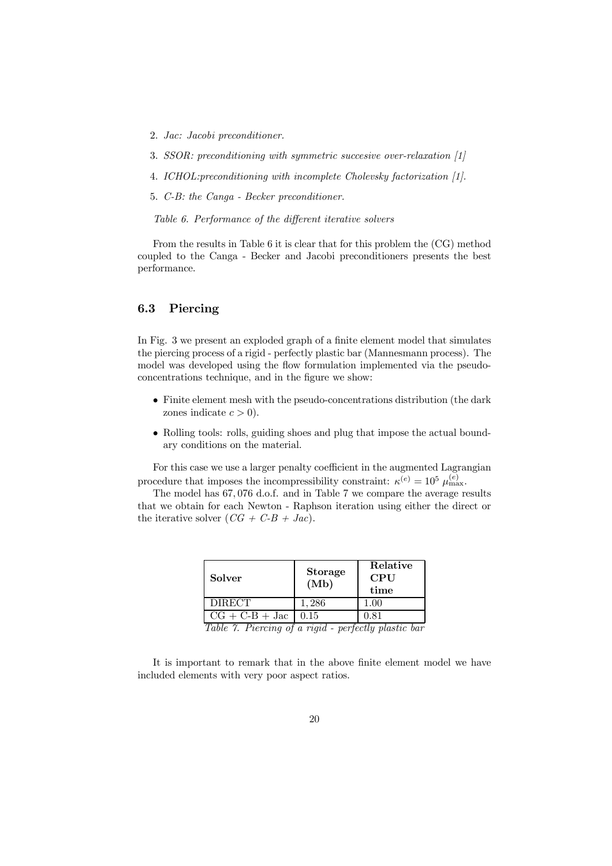- 2. Jac: Jacobi preconditioner.
- 3. SSOR: preconditioning with symmetric succesive over-relaxation [1]
- 4. ICHOL:preconditioning with incomplete Cholevsky factorization [1].
- 5. C-B: the Canga Becker preconditioner.

Table 6. Performance of the different iterative solvers

From the results in Table 6 it is clear that for this problem the (CG) method coupled to the Canga - Becker and Jacobi preconditioners presents the best performance.

### 6.3 Piercing

In Fig. 3 we present an exploded graph of a finite element model that simulates the piercing process of a rigid - perfectly plastic bar (Mannesmann process). The model was developed using the flow formulation implemented via the pseudoconcentrations technique, and in the figure we show:

- $\bullet$  Finite element mesh with the pseudo-concentrations distribution (the dark zones indicate  $c > 0$ ).
- Rolling tools: rolls, guiding shoes and plug that impose the actual boundary conditions on the material.

For this case we use a larger penalty coefficient in the augmented Lagrangian procedure that imposes the incompressibility constraint:  $\kappa^{(e)} = 10^5 \mu_{\text{max}}^{(e)}$ .

The model has 67, 076 d.o.f. and in Table 7 we compare the average results that we obtain for each Newton - Raphson iteration using either the direct or the iterative solver  $(CG + C-B + Jac)$ .

| Solver           | <b>Storage</b><br>(Mb)   | Relative<br><b>CPU</b><br>time |
|------------------|--------------------------|--------------------------------|
| <b>DIRECT</b>    | 1.286                    | $1.00\,$                       |
| $CG + C-B + Jac$ | 0.15<br>$\sim$<br>$\sim$ | 0.81<br>___                    |

Table 7. Piercing of a rigid - perfectly plastic bar

It is important to remark that in the above finite element model we have included elements with very poor aspect ratios.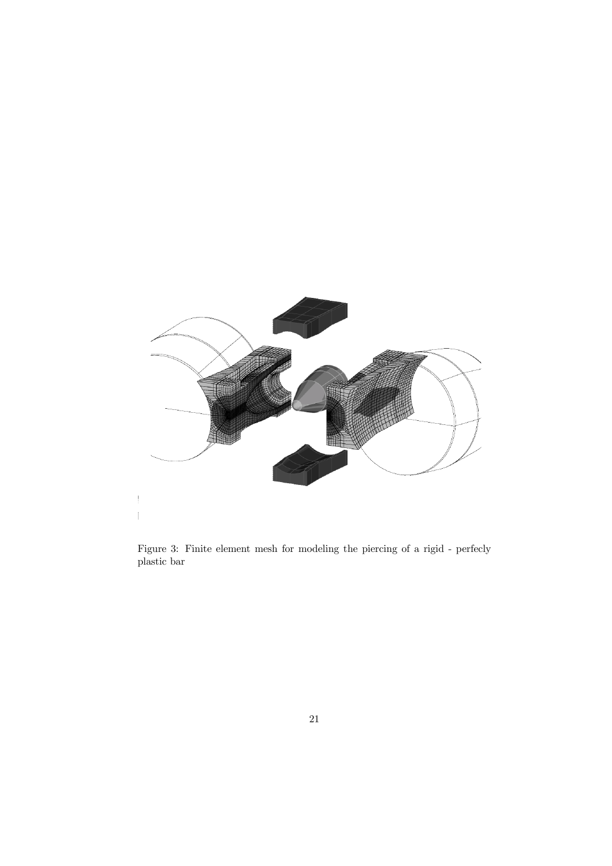

Figure 3: Finite element mesh for modeling the piercing of a rigid - perfecly plastic bar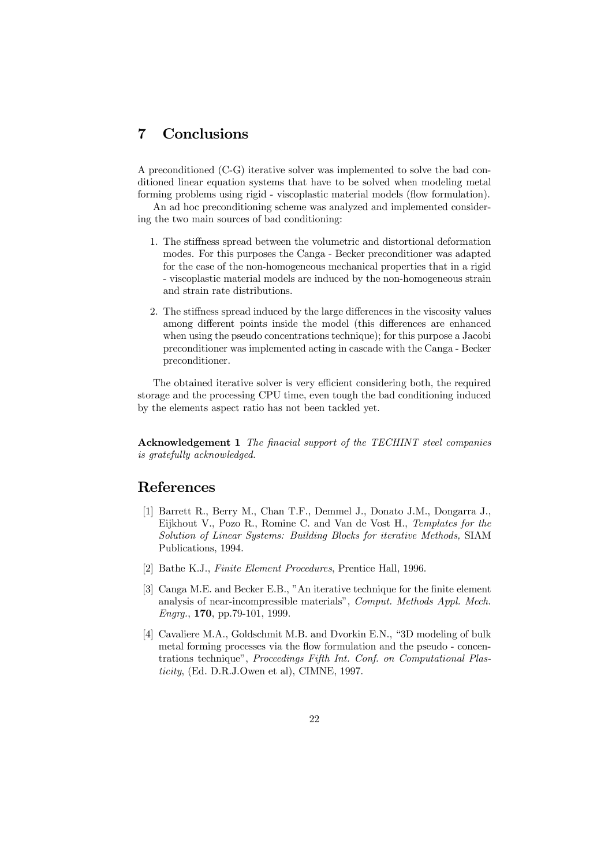# 7 Conclusions

A preconditioned (C-G) iterative solver was implemented to solve the bad conditioned linear equation systems that have to be solved when modeling metal forming problems using rigid - viscoplastic material models (flow formulation).

An ad hoc preconditioning scheme was analyzed and implemented considering the two main sources of bad conditioning:

- 1. The stiffness spread between the volumetric and distortional deformation modes. For this purposes the Canga - Becker preconditioner was adapted for the case of the non-homogeneous mechanical properties that in a rigid - viscoplastic material models are induced by the non-homogeneous strain and strain rate distributions.
- 2. The stiffness spread induced by the large differences in the viscosity values among different points inside the model (this differences are enhanced when using the pseudo concentrations technique); for this purpose a Jacobi preconditioner was implemented acting in cascade with the Canga - Becker preconditioner.

The obtained iterative solver is very efficient considering both, the required storage and the processing CPU time, even tough the bad conditioning induced by the elements aspect ratio has not been tackled yet.

Acknowledgement 1 The finacial support of the TECHINT steel companies is gratefully acknowledged.

## References

- [1] Barrett R., Berry M., Chan T.F., Demmel J., Donato J.M., Dongarra J., Eijkhout V., Pozo R., Romine C. and Van de Vost H., Templates for the Solution of Linear Systems: Building Blocks for iterative Methods, SIAM Publications, 1994.
- [2] Bathe K.J., Finite Element Procedures, Prentice Hall, 1996.
- [3] Canga M.E. and Becker E.B., "An iterative technique for the finite element analysis of near-incompressible materials", Comput. Methods Appl. Mech. Engrg., 170, pp.79-101, 1999.
- [4] Cavaliere M.A., Goldschmit M.B. and Dvorkin E.N., "3D modeling of bulk metal forming processes via the flow formulation and the pseudo - concentrations technique", Proceedings Fifth Int. Conf. on Computational Plasticity, (Ed. D.R.J.Owen et al), CIMNE, 1997.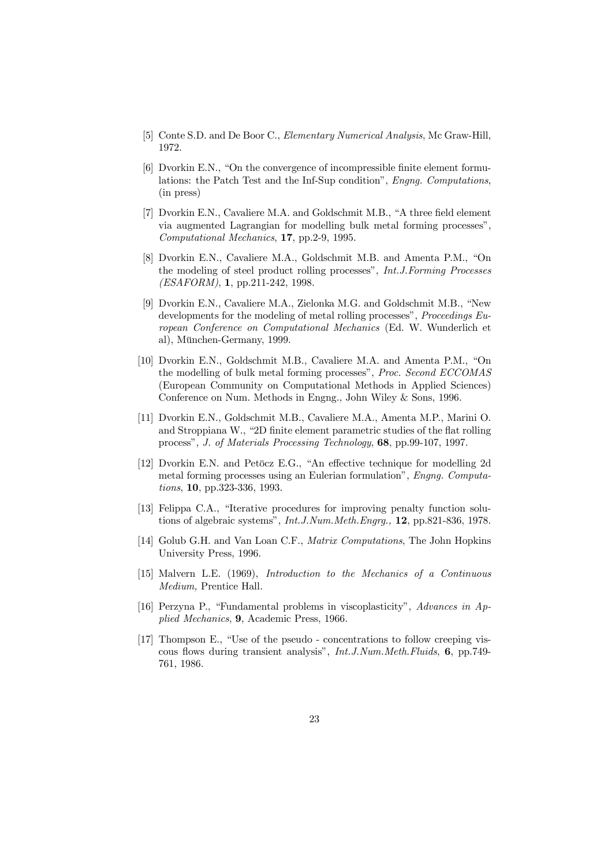- [5] Conte S.D. and De Boor C., Elementary Numerical Analysis, Mc Graw-Hill, 1972.
- $[6]$  Dvorkin E.N., "On the convergence of incompressible finite element formulations: the Patch Test and the Inf-Sup condition", Engng. Computations, (in press)
- [7] Dvorkin E.N., Cavaliere M.A. and Goldschmit M.B., "A three field element via augmented Lagrangian for modelling bulk metal forming processes" Computational Mechanics, 17, pp.2-9, 1995.
- [8] Dvorkin E.N., Cavaliere M.A., Goldschmit M.B. and Amenta P.M., "On the modeling of steel product rolling processes", Int.J.Forming Processes (ESAFORM), 1, pp.211-242, 1998.
- [9] Dvorkin E.N., Cavaliere M.A., Zielonka M.G. and Goldschmit M.B., "New developments for the modeling of metal rolling processes", Proceedings  $Eu$ ropean Conference on Computational Mechanics (Ed. W. Wunderlich et al), München-Germany, 1999.
- [10] Dvorkin E.N., Goldschmit M.B., Cavaliere M.A. and Amenta P.M., "On the modelling of bulk metal forming processes", Proc. Second ECCOMAS (European Community on Computational Methods in Applied Sciences) Conference on Num. Methods in Engng., John Wiley & Sons, 1996.
- [11] Dvorkin E.N., Goldschmit M.B., Cavaliere M.A., Amenta M.P., Marini O. and Stroppiana W., "2D finite element parametric studies of the flat rolling processî, J. of Materials Processing Technology, 68, pp.99-107, 1997.
- [12] Dvorkin E.N. and Petöcz E.G., "An effective technique for modelling 2d metal forming processes using an Eulerian formulationî, Engng. Computations, 10, pp.323-336, 1993.
- [13] Felippa C.A., "Iterative procedures for improving penalty function solutions of algebraic systems", Int.J.Num.Meth.Engrg., 12, pp.821-836, 1978.
- [14] Golub G.H. and Van Loan C.F., Matrix Computations, The John Hopkins University Press, 1996.
- [15] Malvern L.E. (1969), Introduction to the Mechanics of a Continuous Medium, Prentice Hall.
- [16] Perzyna P., "Fundamental problems in viscoplasticity", Advances in Applied Mechanics, 9, Academic Press, 1966.
- $[17]$  Thompson E., "Use of the pseudo concentrations to follow creeping viscous flows during transient analysis", Int.J.Num.Meth.Fluids, 6, pp.749-761, 1986.